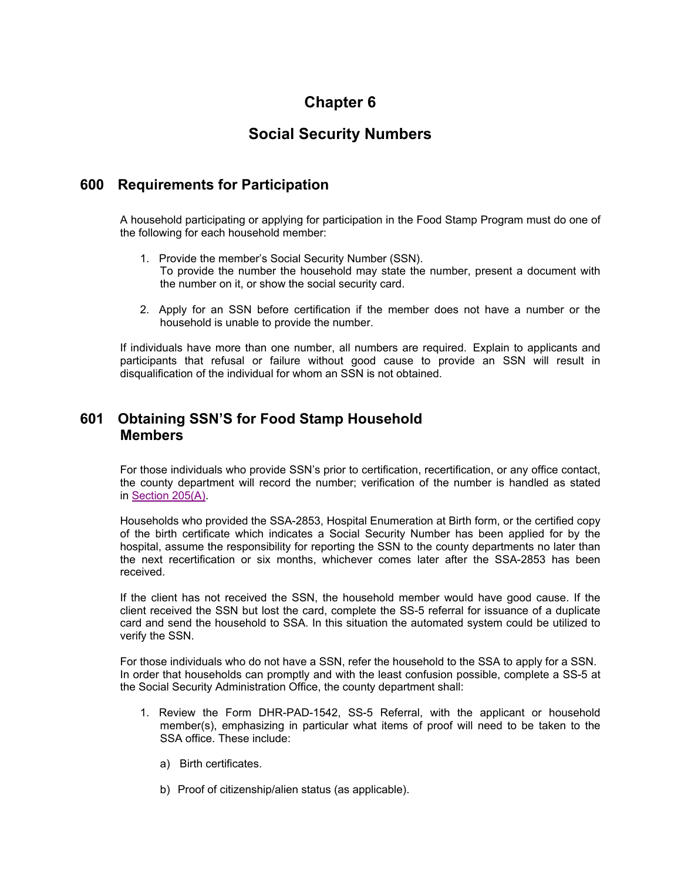## **Chapter 6**

# **Social Security Numbers**

### **600 Requirements for Participation**

A household participating or applying for participation in the Food Stamp Program must do one of the following for each household member:

- 1. Provide the member's Social Security Number (SSN). To provide the number the household may state the number, present a document with the number on it, or show the social security card.
- 2. Apply for an SSN before certification if the member does not have a number or the household is unable to provide the number.

If individuals have more than one number, all numbers are required. Explain to applicants and participants that refusal or failure without good cause to provide an SSN will result in disqualification of the individual for whom an SSN is not obtained.

### **601 Obtaining SSN'S for Food Stamp Household Members**

For those individuals who provide SSN's prior to certification, recertification, or any office contact, the county department will record the number; verification of the number is handled as stated in Section 205(A).

Households who provided the SSA-2853, Hospital Enumeration at Birth form, or the certified copy of the birth certificate which indicates a Social Security Number has been applied for by the hospital, assume the responsibility for reporting the SSN to the county departments no later than the next recertification or six months, whichever comes later after the SSA-2853 has been received.

If the client has not received the SSN, the household member would have good cause. If the client received the SSN but lost the card, complete the SS-5 referral for issuance of a duplicate card and send the household to SSA. In this situation the automated system could be utilized to verify the SSN.

For those individuals who do not have a SSN, refer the household to the SSA to apply for a SSN. In order that households can promptly and with the least confusion possible, complete a SS-5 at the Social Security Administration Office, the county department shall:

- 1. Review the Form DHR-PAD-1542, SS-5 Referral, with the applicant or household member(s), emphasizing in particular what items of proof will need to be taken to the SSA office. These include:
	- a) Birth certificates.
	- b) Proof of citizenship/alien status (as applicable).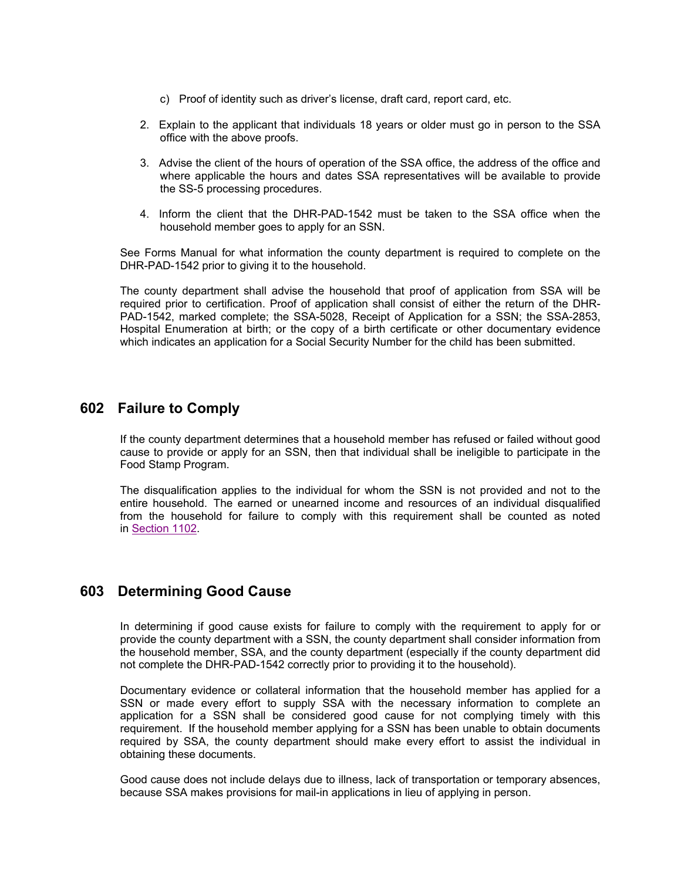- c) Proof of identity such as driver's license, draft card, report card, etc.
- 2. Explain to the applicant that individuals 18 years or older must go in person to the SSA office with the above proofs.
- 3. Advise the client of the hours of operation of the SSA office, the address of the office and where applicable the hours and dates SSA representatives will be available to provide the SS-5 processing procedures.
- 4. Inform the client that the DHR-PAD-1542 must be taken to the SSA office when the household member goes to apply for an SSN.

See Forms Manual for what information the county department is required to complete on the DHR-PAD-1542 prior to giving it to the household.

The county department shall advise the household that proof of application from SSA will be required prior to certification. Proof of application shall consist of either the return of the DHR-PAD-1542, marked complete; the SSA-5028, Receipt of Application for a SSN; the SSA-2853, Hospital Enumeration at birth; or the copy of a birth certificate or other documentary evidence which indicates an application for a Social Security Number for the child has been submitted.

#### **602 Failure to Comply**

If the county department determines that a household member has refused or failed without good cause to provide or apply for an SSN, then that individual shall be ineligible to participate in the Food Stamp Program.

The disqualification applies to the individual for whom the SSN is not provided and not to the entire household. The earned or unearned income and resources of an individual disqualified from the household for failure to comply with this requirement shall be counted as noted in Section 1102.

#### **603 Determining Good Cause**

In determining if good cause exists for failure to comply with the requirement to apply for or provide the county department with a SSN, the county department shall consider information from the household member, SSA, and the county department (especially if the county department did not complete the DHR-PAD-1542 correctly prior to providing it to the household).

Documentary evidence or collateral information that the household member has applied for a SSN or made every effort to supply SSA with the necessary information to complete an application for a SSN shall be considered good cause for not complying timely with this requirement. If the household member applying for a SSN has been unable to obtain documents required by SSA, the county department should make every effort to assist the individual in obtaining these documents.

Good cause does not include delays due to illness, lack of transportation or temporary absences, because SSA makes provisions for mail-in applications in lieu of applying in person.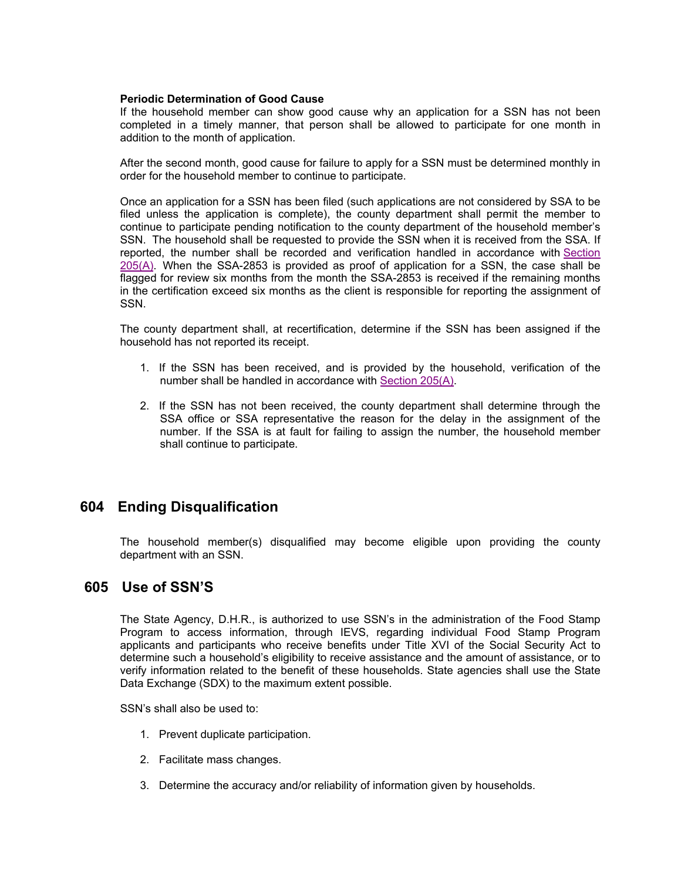#### **Periodic Determination of Good Cause**

If the household member can show good cause why an application for a SSN has not been completed in a timely manner, that person shall be allowed to participate for one month in addition to the month of application.

After the second month, good cause for failure to apply for a SSN must be determined monthly in order for the household member to continue to participate.

Once an application for a SSN has been filed (such applications are not considered by SSA to be filed unless the application is complete), the county department shall permit the member to continue to participate pending notification to the county department of the household member's SSN. The household shall be requested to provide the SSN when it is received from the SSA. If reported, the number shall be recorded and verification handled in accordance with Section 205(A). When the SSA-2853 is provided as proof of application for a SSN, the case shall be flagged for review six months from the month the SSA-2853 is received if the remaining months in the certification exceed six months as the client is responsible for reporting the assignment of SSN.

The county department shall, at recertification, determine if the SSN has been assigned if the household has not reported its receipt.

- 1. If the SSN has been received, and is provided by the household, verification of the number shall be handled in accordance with Section 205(A).
- 2. If the SSN has not been received, the county department shall determine through the SSA office or SSA representative the reason for the delay in the assignment of the number. If the SSA is at fault for failing to assign the number, the household member shall continue to participate.

#### **604 Ending Disqualification**

The household member(s) disqualified may become eligible upon providing the county department with an SSN.

#### **605 Use of SSN'S**

The State Agency, D.H.R., is authorized to use SSN's in the administration of the Food Stamp Program to access information, through IEVS, regarding individual Food Stamp Program applicants and participants who receive benefits under Title XVI of the Social Security Act to determine such a household's eligibility to receive assistance and the amount of assistance, or to verify information related to the benefit of these households. State agencies shall use the State Data Exchange (SDX) to the maximum extent possible.

SSN's shall also be used to:

- 1. Prevent duplicate participation.
- 2. Facilitate mass changes.
- 3. Determine the accuracy and/or reliability of information given by households.